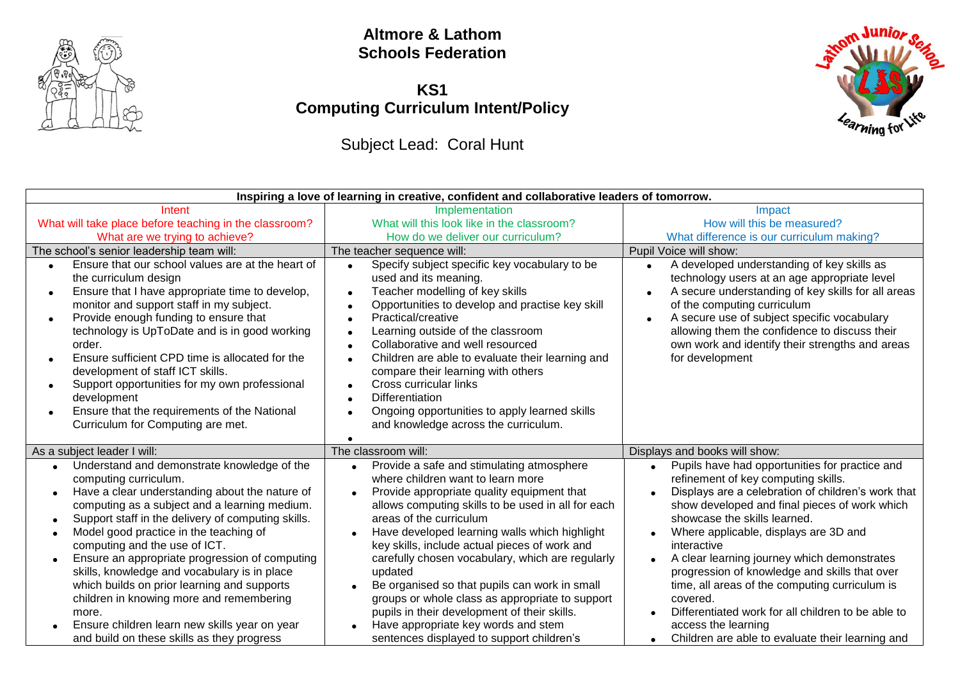

#### **Altmore & Lathom Schools Federation**

## **KS1 Computing Curriculum Intent/Policy**

# Subject Lead: Coral Hunt



| Inspiring a love of learning in creative, confident and collaborative leaders of tomorrow.                                                                                                                                                                                                                                                                                                                                                                                                                                                                                                              |                                                                                                                                                                                                                                                                                                                                                                                                                                                                                                                                                                                        |                                                                                                                                                                                                                                                                                                                                                                                                                                                                                                                                                           |  |
|---------------------------------------------------------------------------------------------------------------------------------------------------------------------------------------------------------------------------------------------------------------------------------------------------------------------------------------------------------------------------------------------------------------------------------------------------------------------------------------------------------------------------------------------------------------------------------------------------------|----------------------------------------------------------------------------------------------------------------------------------------------------------------------------------------------------------------------------------------------------------------------------------------------------------------------------------------------------------------------------------------------------------------------------------------------------------------------------------------------------------------------------------------------------------------------------------------|-----------------------------------------------------------------------------------------------------------------------------------------------------------------------------------------------------------------------------------------------------------------------------------------------------------------------------------------------------------------------------------------------------------------------------------------------------------------------------------------------------------------------------------------------------------|--|
| Intent                                                                                                                                                                                                                                                                                                                                                                                                                                                                                                                                                                                                  | Implementation                                                                                                                                                                                                                                                                                                                                                                                                                                                                                                                                                                         | Impact                                                                                                                                                                                                                                                                                                                                                                                                                                                                                                                                                    |  |
| What will take place before teaching in the classroom?                                                                                                                                                                                                                                                                                                                                                                                                                                                                                                                                                  | What will this look like in the classroom?                                                                                                                                                                                                                                                                                                                                                                                                                                                                                                                                             | How will this be measured?                                                                                                                                                                                                                                                                                                                                                                                                                                                                                                                                |  |
| What are we trying to achieve?                                                                                                                                                                                                                                                                                                                                                                                                                                                                                                                                                                          | How do we deliver our curriculum?                                                                                                                                                                                                                                                                                                                                                                                                                                                                                                                                                      | What difference is our curriculum making?                                                                                                                                                                                                                                                                                                                                                                                                                                                                                                                 |  |
| The school's senior leadership team will:                                                                                                                                                                                                                                                                                                                                                                                                                                                                                                                                                               | The teacher sequence will:                                                                                                                                                                                                                                                                                                                                                                                                                                                                                                                                                             | Pupil Voice will show:                                                                                                                                                                                                                                                                                                                                                                                                                                                                                                                                    |  |
| Ensure that our school values are at the heart of<br>$\bullet$<br>the curriculum design<br>Ensure that I have appropriate time to develop,<br>$\bullet$<br>monitor and support staff in my subject.<br>Provide enough funding to ensure that<br>$\bullet$<br>technology is UpToDate and is in good working<br>order.<br>Ensure sufficient CPD time is allocated for the<br>$\bullet$<br>development of staff ICT skills.<br>Support opportunities for my own professional<br>$\bullet$<br>development<br>Ensure that the requirements of the National<br>$\bullet$<br>Curriculum for Computing are met. | Specify subject specific key vocabulary to be<br>$\bullet$<br>used and its meaning.<br>Teacher modelling of key skills<br>Opportunities to develop and practise key skill<br>Practical/creative<br>Learning outside of the classroom<br>Collaborative and well resourced<br>Children are able to evaluate their learning and<br>compare their learning with others<br>Cross curricular links<br><b>Differentiation</b><br>Ongoing opportunities to apply learned skills<br>and knowledge across the curriculum.                                                                        | A developed understanding of key skills as<br>$\bullet$<br>technology users at an age appropriate level<br>A secure understanding of key skills for all areas<br>of the computing curriculum<br>A secure use of subject specific vocabulary<br>allowing them the confidence to discuss their<br>own work and identify their strengths and areas<br>for development                                                                                                                                                                                        |  |
| As a subject leader I will:                                                                                                                                                                                                                                                                                                                                                                                                                                                                                                                                                                             | The classroom will:                                                                                                                                                                                                                                                                                                                                                                                                                                                                                                                                                                    | Displays and books will show:                                                                                                                                                                                                                                                                                                                                                                                                                                                                                                                             |  |
| Understand and demonstrate knowledge of the<br>computing curriculum.<br>Have a clear understanding about the nature of<br>computing as a subject and a learning medium.<br>Support staff in the delivery of computing skills.<br>Model good practice in the teaching of<br>computing and the use of ICT.<br>Ensure an appropriate progression of computing<br>skills, knowledge and vocabulary is in place<br>which builds on prior learning and supports<br>children in knowing more and remembering<br>more.<br>Ensure children learn new skills year on year                                         | Provide a safe and stimulating atmosphere<br>$\bullet$<br>where children want to learn more<br>Provide appropriate quality equipment that<br>allows computing skills to be used in all for each<br>areas of the curriculum<br>Have developed learning walls which highlight<br>key skills, include actual pieces of work and<br>carefully chosen vocabulary, which are regularly<br>updated<br>Be organised so that pupils can work in small<br>groups or whole class as appropriate to support<br>pupils in their development of their skills.<br>Have appropriate key words and stem | Pupils have had opportunities for practice and<br>$\bullet$<br>refinement of key computing skills.<br>Displays are a celebration of children's work that<br>show developed and final pieces of work which<br>showcase the skills learned.<br>Where applicable, displays are 3D and<br>interactive<br>A clear learning journey which demonstrates<br>$\bullet$<br>progression of knowledge and skills that over<br>time, all areas of the computing curriculum is<br>covered.<br>Differentiated work for all children to be able to<br>access the learning |  |
| and build on these skills as they progress                                                                                                                                                                                                                                                                                                                                                                                                                                                                                                                                                              | sentences displayed to support children's                                                                                                                                                                                                                                                                                                                                                                                                                                                                                                                                              | Children are able to evaluate their learning and                                                                                                                                                                                                                                                                                                                                                                                                                                                                                                          |  |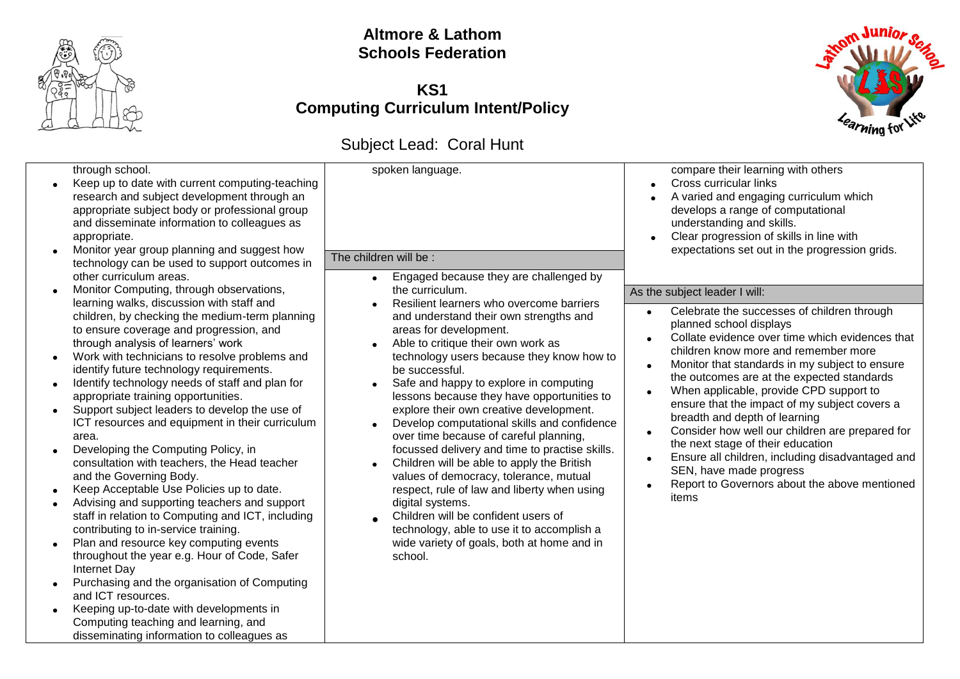

### **Altmore & Lathom Schools Federation**

### **KS1 Computing Curriculum Intent/Policy**



# Subject Lead: Coral Hunt

| through school.<br>Keep up to date with current computing-teaching<br>research and subject development through an<br>appropriate subject body or professional group<br>and disseminate information to colleagues as<br>appropriate.<br>Monitor year group planning and suggest how<br>technology can be used to support outcomes in<br>other curriculum areas.                                                                                                                                                                                                                                                                                                                                                                                                                                                                                                                                                                                                                                                                                                                                               | spoken language.<br>The children will be :<br>Engaged because they are challenged by                                                                                                                                                                                                                                                                                                                                                                                                                                                                                                                                                                                                                                                                                                                                  | compare their learning with others<br>Cross curricular links<br>A varied and engaging curriculum which<br>develops a range of computational<br>understanding and skills.<br>Clear progression of skills in line with<br>expectations set out in the progression grids.                                                                                                                                                                                                                                                                                                                                                          |
|--------------------------------------------------------------------------------------------------------------------------------------------------------------------------------------------------------------------------------------------------------------------------------------------------------------------------------------------------------------------------------------------------------------------------------------------------------------------------------------------------------------------------------------------------------------------------------------------------------------------------------------------------------------------------------------------------------------------------------------------------------------------------------------------------------------------------------------------------------------------------------------------------------------------------------------------------------------------------------------------------------------------------------------------------------------------------------------------------------------|-----------------------------------------------------------------------------------------------------------------------------------------------------------------------------------------------------------------------------------------------------------------------------------------------------------------------------------------------------------------------------------------------------------------------------------------------------------------------------------------------------------------------------------------------------------------------------------------------------------------------------------------------------------------------------------------------------------------------------------------------------------------------------------------------------------------------|---------------------------------------------------------------------------------------------------------------------------------------------------------------------------------------------------------------------------------------------------------------------------------------------------------------------------------------------------------------------------------------------------------------------------------------------------------------------------------------------------------------------------------------------------------------------------------------------------------------------------------|
| Monitor Computing, through observations,                                                                                                                                                                                                                                                                                                                                                                                                                                                                                                                                                                                                                                                                                                                                                                                                                                                                                                                                                                                                                                                                     | the curriculum.                                                                                                                                                                                                                                                                                                                                                                                                                                                                                                                                                                                                                                                                                                                                                                                                       | As the subject leader I will:                                                                                                                                                                                                                                                                                                                                                                                                                                                                                                                                                                                                   |
| learning walks, discussion with staff and<br>children, by checking the medium-term planning<br>to ensure coverage and progression, and<br>through analysis of learners' work<br>Work with technicians to resolve problems and<br>identify future technology requirements.<br>Identify technology needs of staff and plan for<br>appropriate training opportunities.<br>Support subject leaders to develop the use of<br>ICT resources and equipment in their curriculum<br>area.<br>Developing the Computing Policy, in<br>consultation with teachers, the Head teacher<br>and the Governing Body.<br>Keep Acceptable Use Policies up to date.<br>Advising and supporting teachers and support<br>staff in relation to Computing and ICT, including<br>contributing to in-service training.<br>Plan and resource key computing events<br>throughout the year e.g. Hour of Code, Safer<br>Internet Day<br>Purchasing and the organisation of Computing<br>and ICT resources.<br>Keeping up-to-date with developments in<br>Computing teaching and learning, and<br>disseminating information to colleagues as | Resilient learners who overcome barriers<br>and understand their own strengths and<br>areas for development.<br>Able to critique their own work as<br>technology users because they know how to<br>be successful.<br>Safe and happy to explore in computing<br>lessons because they have opportunities to<br>explore their own creative development.<br>Develop computational skills and confidence<br>$\bullet$<br>over time because of careful planning,<br>focussed delivery and time to practise skills.<br>Children will be able to apply the British<br>values of democracy, tolerance, mutual<br>respect, rule of law and liberty when using<br>digital systems.<br>Children will be confident users of<br>technology, able to use it to accomplish a<br>wide variety of goals, both at home and in<br>school. | Celebrate the successes of children through<br>planned school displays<br>Collate evidence over time which evidences that<br>children know more and remember more<br>Monitor that standards in my subject to ensure<br>the outcomes are at the expected standards<br>When applicable, provide CPD support to<br>ensure that the impact of my subject covers a<br>breadth and depth of learning<br>Consider how well our children are prepared for<br>the next stage of their education<br>Ensure all children, including disadvantaged and<br>SEN, have made progress<br>Report to Governors about the above mentioned<br>items |